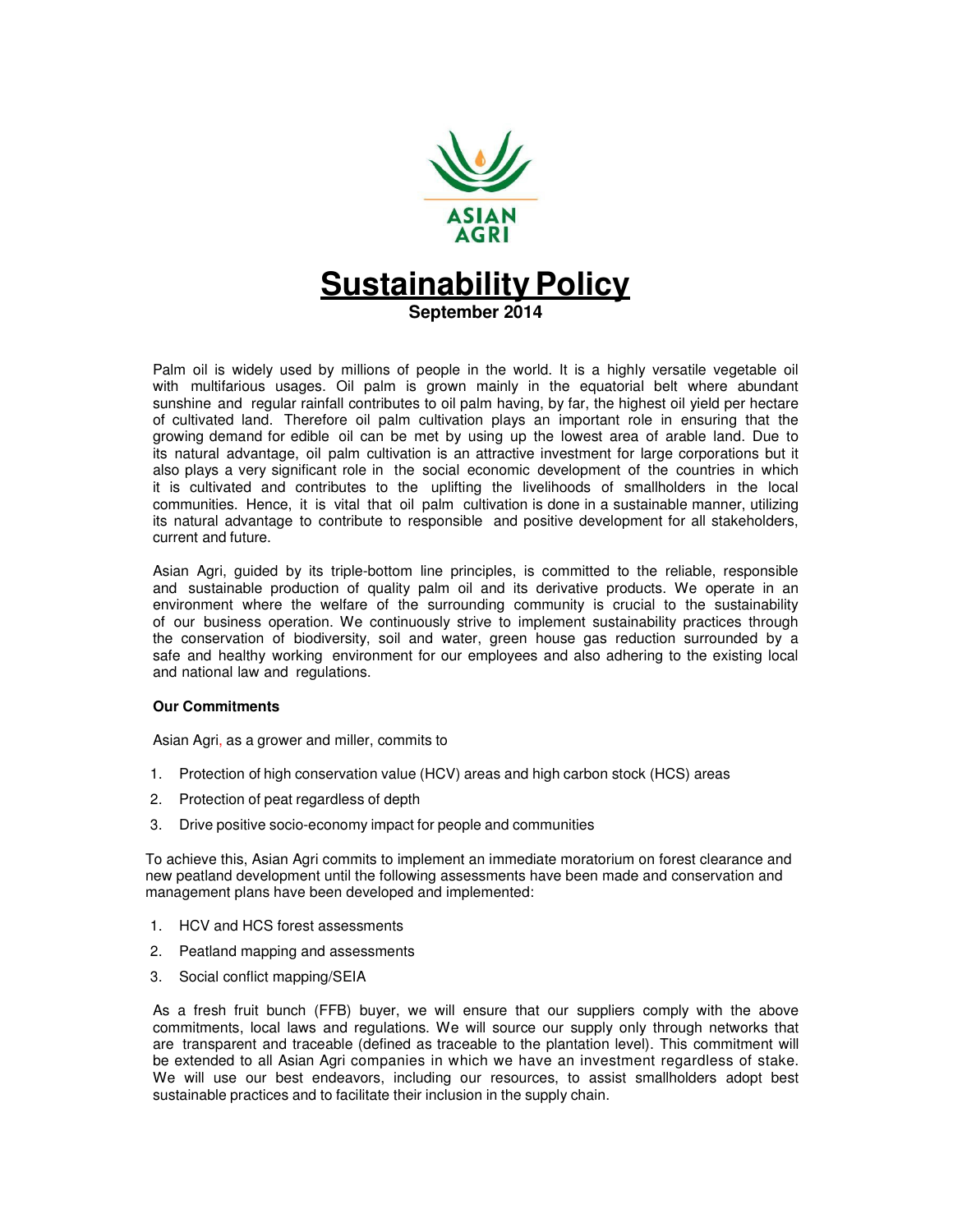

# **Sustainability Policy September 2014**

Palm oil is widely used by millions of people in the world. It is a highly versatile vegetable oil with multifarious usages. Oil palm is grown mainly in the equatorial belt where abundant sunshine and regular rainfall contributes to oil palm having, by far, the highest oil yield per hectare of cultivated land. Therefore oil palm cultivation plays an important role in ensuring that the growing demand for edible oil can be met by using up the lowest area of arable land. Due to its natural advantage, oil palm cultivation is an attractive investment for large corporations but it also plays a very significant role in the social economic development of the countries in which it is cultivated and contributes to the uplifting the livelihoods of smallholders in the local communities. Hence, it is vital that oil palm cultivation is done in a sustainable manner, utilizing its natural advantage to contribute to responsible and positive development for all stakeholders, current and future.

Asian Agri, guided by its triple-bottom line principles, is committed to the reliable, responsible and sustainable production of quality palm oil and its derivative products. We operate in an environment where the welfare of the surrounding community is crucial to the sustainability of our business operation. We continuously strive to implement sustainability practices through the conservation of biodiversity, soil and water, green house gas reduction surrounded by a safe and healthy working environment for our employees and also adhering to the existing local and national law and regulations.

#### **Our Commitments**

Asian Agri, as a grower and miller, commits to

- 1. Protection of high conservation value (HCV) areas and high carbon stock (HCS) areas
- 2. Protection of peat regardless of depth
- 3. Drive positive socio-economy impact for people and communities

To achieve this, Asian Agri commits to implement an immediate moratorium on forest clearance and new peatland development until the following assessments have been made and conservation and management plans have been developed and implemented:

- 1. HCV and HCS forest assessments
- 2. Peatland mapping and assessments
- 3. Social conflict mapping/SEIA

As a fresh fruit bunch (FFB) buyer, we will ensure that our suppliers comply with the above commitments, local laws and regulations. We will source our supply only through networks that are transparent and traceable (defined as traceable to the plantation level). This commitment will be extended to all Asian Agri companies in which we have an investment regardless of stake. We will use our best endeavors, including our resources, to assist smallholders adopt best sustainable practices and to facilitate their inclusion in the supply chain.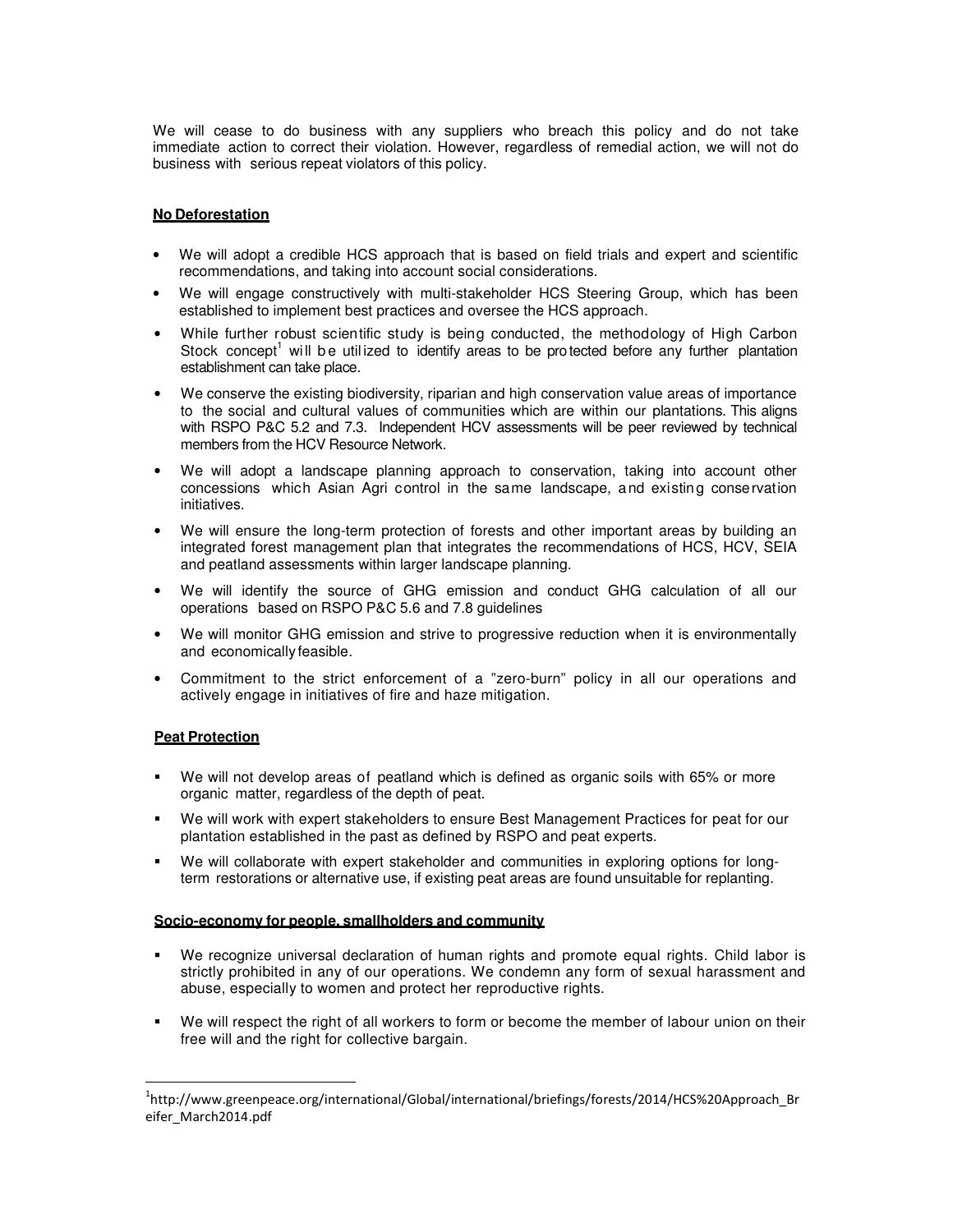We will cease to do business with any suppliers who breach this policy and do not take immediate action to correct their violation. However, regardless of remedial action, we will not do business with serious repeat violators of this policy.

## **No Deforestation**

- We will adopt a credible HCS approach that is based on field trials and expert and scientific recommendations, and taking into account social considerations.
- We will engage constructively with multi-stakeholder HCS Steering Group, which has been established to implement best practices and oversee the HCS approach.
- While further robust scientific study is being conducted, the methodology of High Carbon Stock concept<sup>1</sup> will be utilized to identify areas to be protected before any further plantation establishment can take place.
- We conserve the existing biodiversity, riparian and high conservation value areas of importance to the social and cultural values of communities which are within our plantations. This aligns with RSPO P&C 5.2 and 7.3. Independent HCV assessments will be peer reviewed by technical members from the HCV Resource Network.
- We will adopt a landscape planning approach to conservation, taking into account other concessions which Asian Agri control in the same landscape, and existing conservation initiatives.
- We will ensure the long-term protection of forests and other important areas by building an integrated forest management plan that integrates the recommendations of HCS, HCV, SEIA and peatland assessments within larger landscape planning.
- We will identify the source of GHG emission and conduct GHG calculation of all our operations based on RSPO P&C 5.6 and 7.8 guidelines
- We will monitor GHG emission and strive to progressive reduction when it is environmentally and economically feasible.
- Commitment to the strict enforcement of a "zero-burn" policy in all our operations and actively engage in initiatives of fire and haze mitigation.

### **Peat Protection**

l

- We will not develop areas of peatland which is defined as organic soils with 65% or more organic matter, regardless of the depth of peat.
- We will work with expert stakeholders to ensure Best Management Practices for peat for our plantation established in the past as defined by RSPO and peat experts.
- We will collaborate with expert stakeholder and communities in exploring options for longterm restorations or alternative use, if existing peat areas are found unsuitable for replanting.

### **Socio-economy for people, smallholders and community**

- We recognize universal declaration of human rights and promote equal rights. Child labor is strictly prohibited in any of our operations. We condemn any form of sexual harassment and abuse, especially to women and protect her reproductive rights.
- We will respect the right of all workers to form or become the member of labour union on their free will and the right for collective bargain.

<sup>&</sup>lt;sup>1</sup>http://www.greenpeace.org/international/Global/international/briefings/forests/2014/HCS%20Approach\_Br eifer\_March2014.pdf